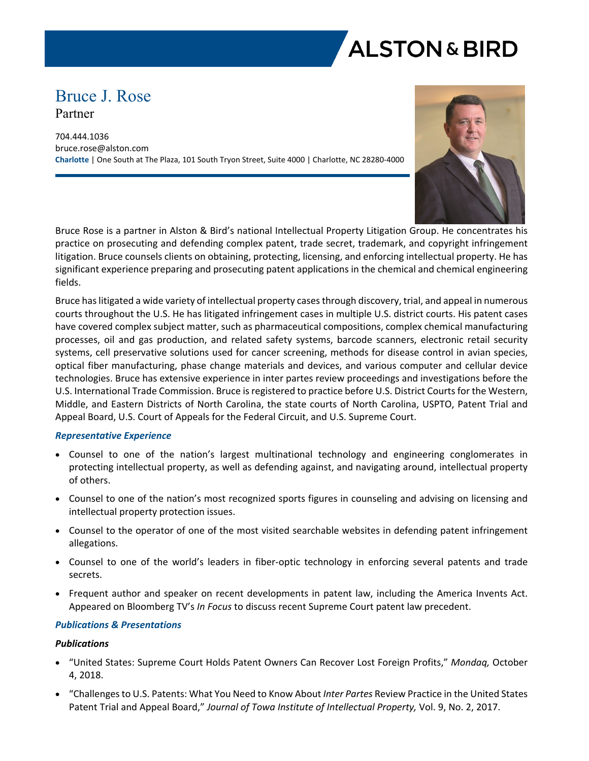

# Bruce J. Rose Partner

704.444.1036 bruce.rose@alston.com **Charlotte** | One South at The Plaza, 101 South Tryon Street, Suite 4000 | Charlotte, NC 28280-4000



Bruce Rose is a partner in Alston & Bird's national Intellectual Property Litigation Group. He concentrates his practice on prosecuting and defending complex patent, trade secret, trademark, and copyright infringement litigation. Bruce counsels clients on obtaining, protecting, licensing, and enforcing intellectual property. He has significant experience preparing and prosecuting patent applications in the chemical and chemical engineering fields.

Bruce has litigated a wide variety of intellectual property cases through discovery, trial, and appeal in numerous courts throughout the U.S. He has litigated infringement cases in multiple U.S. district courts. His patent cases have covered complex subject matter, such as pharmaceutical compositions, complex chemical manufacturing processes, oil and gas production, and related safety systems, barcode scanners, electronic retail security systems, cell preservative solutions used for cancer screening, methods for disease control in avian species, optical fiber manufacturing, phase change materials and devices, and various computer and cellular device technologies. Bruce has extensive experience in inter partes review proceedings and investigations before the U.S. International Trade Commission. Bruce is registered to practice before U.S. District Courts for the Western, Middle, and Eastern Districts of North Carolina, the state courts of North Carolina, USPTO, Patent Trial and Appeal Board, U.S. Court of Appeals for the Federal Circuit, and U.S. Supreme Court.

#### *Representative Experience*

- Counsel to one of the nation's largest multinational technology and engineering conglomerates in protecting intellectual property, as well as defending against, and navigating around, intellectual property of others.
- Counsel to one of the nation's most recognized sports figures in counseling and advising on licensing and intellectual property protection issues.
- Counsel to the operator of one of the most visited searchable websites in defending patent infringement allegations.
- Counsel to one of the world's leaders in fiber-optic technology in enforcing several patents and trade secrets.
- Frequent author and speaker on recent developments in patent law, including the America Invents Act. Appeared on Bloomberg TV's *In Focus* to discuss recent Supreme Court patent law precedent.

#### *Publications & Presentations*

#### *Publications*

- "United States: Supreme Court Holds Patent Owners Can Recover Lost Foreign Profits," *Mondaq,* October 4, 2018.
- "Challenges to U.S. Patents: What You Need to Know About *Inter Partes* Review Practice in the United States Patent Trial and Appeal Board," *Journal of Towa Institute of Intellectual Property,* Vol. 9, No. 2, 2017.